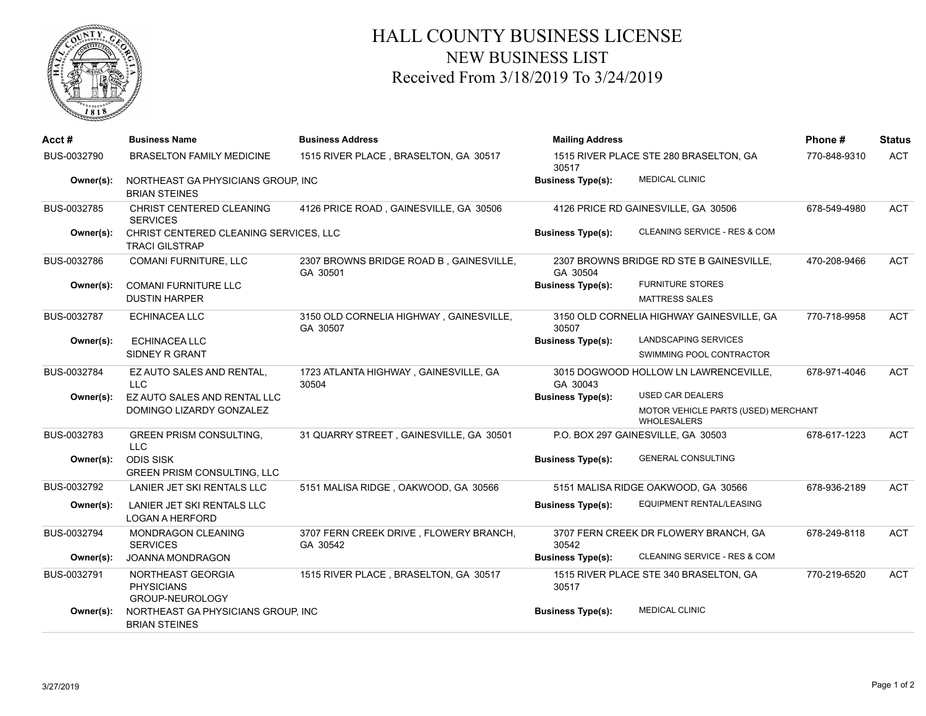

## HALL COUNTY BUSINESS LICENSE NEW BUSINESS LIST Received From 3/18/2019 To 3/24/2019

| Acct#       | <b>Business Name</b>                                            | <b>Business Address</b>                             | <b>Mailing Address</b>                               |                                                                                      | Phone#       | <b>Status</b> |
|-------------|-----------------------------------------------------------------|-----------------------------------------------------|------------------------------------------------------|--------------------------------------------------------------------------------------|--------------|---------------|
| BUS-0032790 | <b>BRASELTON FAMILY MEDICINE</b>                                | 1515 RIVER PLACE, BRASELTON, GA 30517               | 1515 RIVER PLACE STE 280 BRASELTON, GA<br>30517      |                                                                                      | 770-848-9310 | <b>ACT</b>    |
| Owner(s):   | NORTHEAST GA PHYSICIANS GROUP, INC<br><b>BRIAN STEINES</b>      |                                                     | <b>MEDICAL CLINIC</b><br><b>Business Type(s):</b>    |                                                                                      |              |               |
| BUS-0032785 | CHRIST CENTERED CLEANING<br><b>SERVICES</b>                     | 4126 PRICE ROAD, GAINESVILLE, GA 30506              | 4126 PRICE RD GAINESVILLE, GA 30506                  |                                                                                      | 678-549-4980 | <b>ACT</b>    |
| Owner(s):   | CHRIST CENTERED CLEANING SERVICES, LLC<br><b>TRACI GILSTRAP</b> |                                                     | <b>Business Type(s):</b>                             |                                                                                      |              |               |
| BUS-0032786 | <b>COMANI FURNITURE, LLC</b>                                    | 2307 BROWNS BRIDGE ROAD B, GAINESVILLE,<br>GA 30501 | 2307 BROWNS BRIDGE RD STE B GAINESVILLE,<br>GA 30504 |                                                                                      | 470-208-9466 | <b>ACT</b>    |
| Owner(s):   | <b>COMANI FURNITURE LLC</b><br><b>DUSTIN HARPER</b>             |                                                     | <b>Business Type(s):</b>                             | <b>FURNITURE STORES</b><br><b>MATTRESS SALES</b>                                     |              |               |
| BUS-0032787 | <b>ECHINACEA LLC</b>                                            | 3150 OLD CORNELIA HIGHWAY, GAINESVILLE,<br>GA 30507 | 3150 OLD CORNELIA HIGHWAY GAINESVILLE, GA<br>30507   |                                                                                      | 770-718-9958 | <b>ACT</b>    |
| Owner(s):   | <b>ECHINACEA LLC</b><br>SIDNEY R GRANT                          |                                                     | <b>Business Type(s):</b>                             | LANDSCAPING SERVICES<br>SWIMMING POOL CONTRACTOR                                     |              |               |
| BUS-0032784 | EZ AUTO SALES AND RENTAL,<br><b>LLC</b>                         | 1723 ATLANTA HIGHWAY, GAINESVILLE, GA<br>30504      | GA 30043                                             | 3015 DOGWOOD HOLLOW LN LAWRENCEVILLE,                                                | 678-971-4046 | <b>ACT</b>    |
| Owner(s):   | EZ AUTO SALES AND RENTAL LLC<br>DOMINGO LIZARDY GONZALEZ        |                                                     | <b>Business Type(s):</b>                             | <b>USED CAR DEALERS</b><br>MOTOR VEHICLE PARTS (USED) MERCHANT<br><b>WHOLESALERS</b> |              |               |
| BUS-0032783 | <b>GREEN PRISM CONSULTING,</b><br><b>LLC</b>                    | 31 QUARRY STREET, GAINESVILLE, GA 30501             | P.O. BOX 297 GAINESVILLE, GA 30503                   |                                                                                      | 678-617-1223 | <b>ACT</b>    |
| Owner(s):   | <b>ODIS SISK</b><br><b>GREEN PRISM CONSULTING, LLC</b>          |                                                     | <b>Business Type(s):</b>                             | <b>GENERAL CONSULTING</b>                                                            |              |               |
| BUS-0032792 | LANIER JET SKI RENTALS LLC                                      | 5151 MALISA RIDGE, OAKWOOD, GA 30566                | 5151 MALISA RIDGE OAKWOOD, GA 30566                  |                                                                                      | 678-936-2189 | <b>ACT</b>    |
| Owner(s):   | LANIER JET SKI RENTALS LLC<br><b>LOGAN A HERFORD</b>            |                                                     | <b>Business Type(s):</b>                             | EQUIPMENT RENTAL/LEASING                                                             |              |               |
| BUS-0032794 | MONDRAGON CLEANING<br><b>SERVICES</b>                           | 3707 FERN CREEK DRIVE, FLOWERY BRANCH,<br>GA 30542  | 30542                                                | 3707 FERN CREEK DR FLOWERY BRANCH, GA                                                | 678-249-8118 | <b>ACT</b>    |
| Owner(s):   | JOANNA MONDRAGON                                                |                                                     | <b>Business Type(s):</b>                             | CLEANING SERVICE - RES & COM                                                         |              |               |
| BUS-0032791 | NORTHEAST GEORGIA<br><b>PHYSICIANS</b><br>GROUP-NEUROLOGY       | 1515 RIVER PLACE, BRASELTON, GA 30517               | 30517                                                | 1515 RIVER PLACE STE 340 BRASELTON, GA                                               | 770-219-6520 | <b>ACT</b>    |
| Owner(s):   | NORTHEAST GA PHYSICIANS GROUP, INC<br><b>BRIAN STEINES</b>      |                                                     | <b>Business Type(s):</b>                             | <b>MEDICAL CLINIC</b>                                                                |              |               |